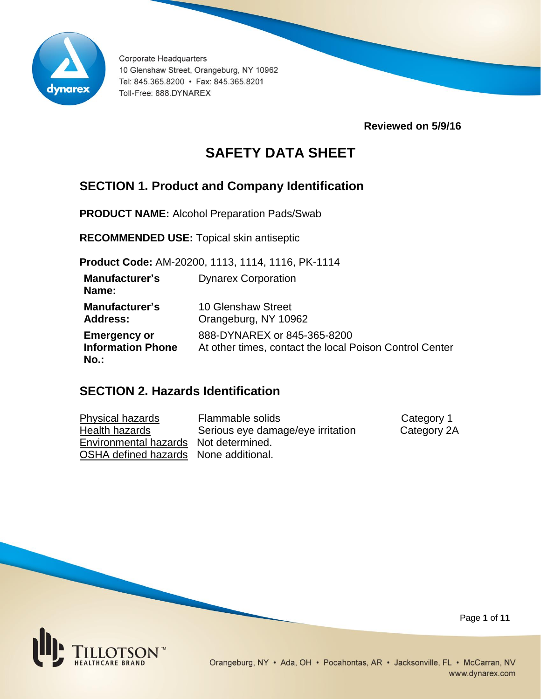

**Reviewed on 5/9/16**

# **SAFETY DATA SHEET**

## **SECTION 1. Product and Company Identification**

**PRODUCT NAME:** Alcohol Preparation Pads/Swab

**RECOMMENDED USE:** Topical skin antiseptic

**Product Code:** AM-20200, 1113, 1114, 1116, PK-1114

| <b>Manufacturer's</b><br>Name:                             | <b>Dynarex Corporation</b>                                                             |
|------------------------------------------------------------|----------------------------------------------------------------------------------------|
| <b>Manufacturer's</b><br><b>Address:</b>                   | <b>10 Glenshaw Street</b><br>Orangeburg, NY 10962                                      |
| <b>Emergency or</b><br><b>Information Phone</b><br>$No.$ : | 888-DYNAREX or 845-365-8200<br>At other times, contact the local Poison Control Center |

## **SECTION 2. Hazards Identification**

Physical hazards Flammable solids Category 1 Health hazards **Serious eye damage/eye irritation** Category 2A Environmental hazards Not determined. OSHA defined hazards None additional.



Page **1** of **11**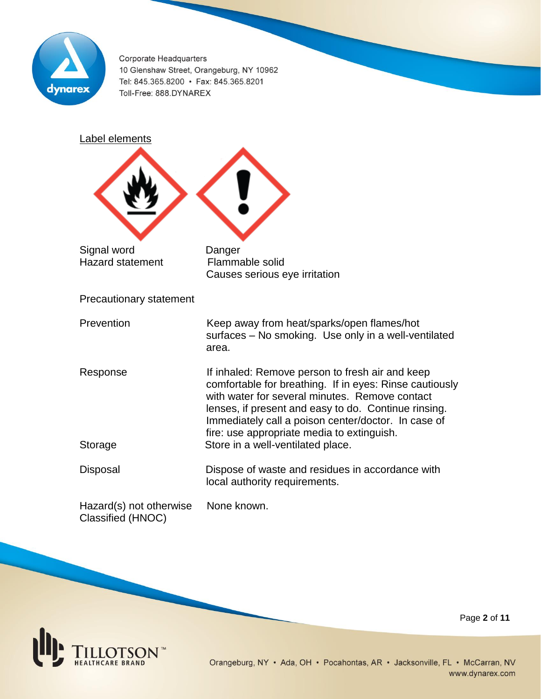

Label elements Signal word Danger Hazard statement Flammable solid Causes serious eye irritation Precautionary statement Prevention **Keep away from heat/sparks/open flames/hot**  surfaces – No smoking. Use only in a well-ventilated area. Response **If inhaled:** Remove person to fresh air and keep comfortable for breathing. If in eyes: Rinse cautiously with water for several minutes. Remove contact lenses, if present and easy to do. Continue rinsing. Immediately call a poison center/doctor. In case of fire: use appropriate media to extinguish. Storage Store in a well-ventilated place. Disposal Dispose of waste and residues in accordance with local authority requirements. Hazard(s) not otherwise None known. Classified (HNOC)

Page **2** of **11**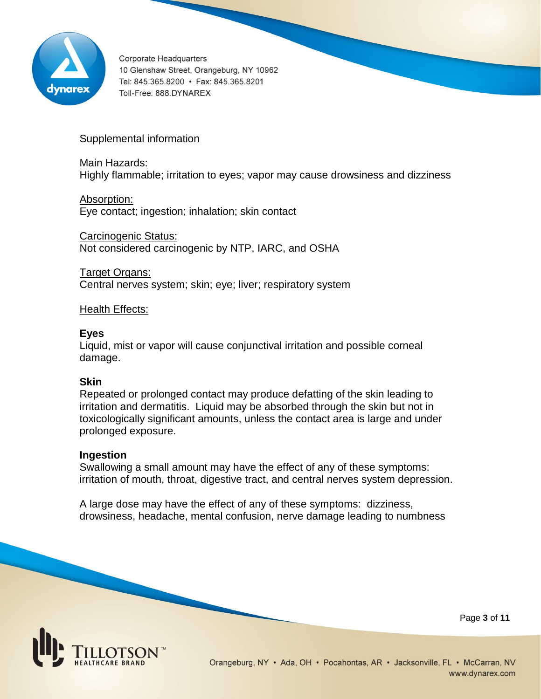

Supplemental information

Main Hazards: Highly flammable; irritation to eyes; vapor may cause drowsiness and dizziness

Absorption: Eye contact; ingestion; inhalation; skin contact

Carcinogenic Status: Not considered carcinogenic by NTP, IARC, and OSHA

Target Organs: Central nerves system; skin; eye; liver; respiratory system

### Health Effects:

### **Eyes**

Liquid, mist or vapor will cause conjunctival irritation and possible corneal damage.

### **Skin**

Repeated or prolonged contact may produce defatting of the skin leading to irritation and dermatitis. Liquid may be absorbed through the skin but not in toxicologically significant amounts, unless the contact area is large and under prolonged exposure.

#### **Ingestion**

Swallowing a small amount may have the effect of any of these symptoms: irritation of mouth, throat, digestive tract, and central nerves system depression.

A large dose may have the effect of any of these symptoms: dizziness, drowsiness, headache, mental confusion, nerve damage leading to numbness



Page **3** of **11**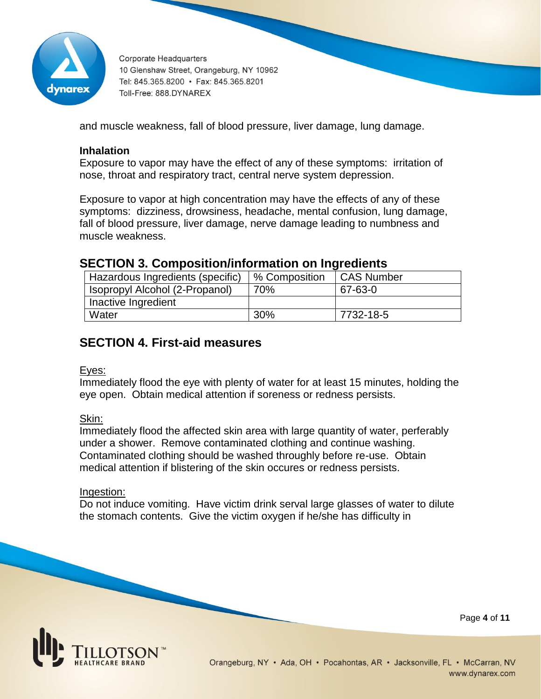

and muscle weakness, fall of blood pressure, liver damage, lung damage.

### **Inhalation**

Exposure to vapor may have the effect of any of these symptoms: irritation of nose, throat and respiratory tract, central nerve system depression.

Exposure to vapor at high concentration may have the effects of any of these symptoms: dizziness, drowsiness, headache, mental confusion, lung damage, fall of blood pressure, liver damage, nerve damage leading to numbness and muscle weakness.

### **SECTION 3. Composition/information on Ingredients**

| Hazardous Ingredients (specific) | % Composition | <b>CAS Number</b> |
|----------------------------------|---------------|-------------------|
| Isopropyl Alcohol (2-Propanol)   | 70%           | 67-63-0           |
| Inactive Ingredient              |               |                   |
| Water                            | 30%           | 7732-18-5         |

## **SECTION 4. First-aid measures**

#### Eyes:

Immediately flood the eye with plenty of water for at least 15 minutes, holding the eye open. Obtain medical attention if soreness or redness persists.

#### Skin:

Immediately flood the affected skin area with large quantity of water, perferably under a shower. Remove contaminated clothing and continue washing. Contaminated clothing should be washed throughly before re-use. Obtain medical attention if blistering of the skin occures or redness persists.

#### Ingestion:

Do not induce vomiting. Have victim drink serval large glasses of water to dilute the stomach contents. Give the victim oxygen if he/she has difficulty in



Page **4** of **11**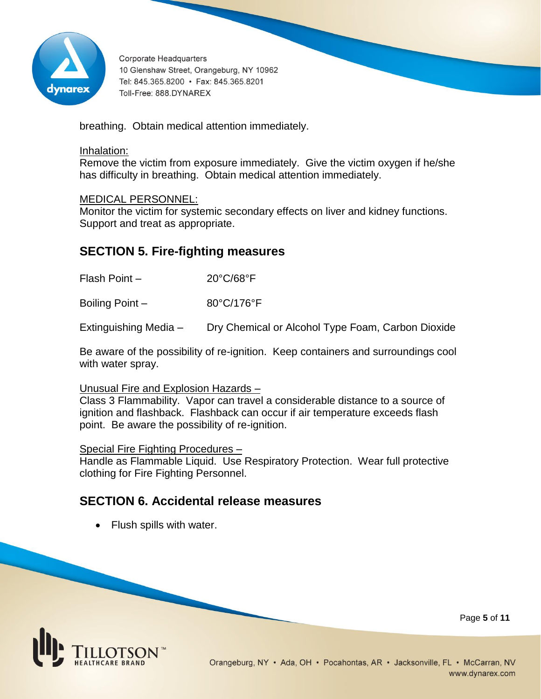

breathing. Obtain medical attention immediately.

#### Inhalation:

Remove the victim from exposure immediately. Give the victim oxygen if he/she has difficulty in breathing. Obtain medical attention immediately.

### MEDICAL PERSONNEL:

Monitor the victim for systemic secondary effects on liver and kidney functions. Support and treat as appropriate.

## **SECTION 5. Fire-fighting measures**

Flash Point – 20°C/68°F

Boiling Point – 80°C/176°F

Extinguishing Media – Dry Chemical or Alcohol Type Foam, Carbon Dioxide

Be aware of the possibility of re-ignition. Keep containers and surroundings cool with water spray.

#### Unusual Fire and Explosion Hazards –

Class 3 Flammability. Vapor can travel a considerable distance to a source of ignition and flashback. Flashback can occur if air temperature exceeds flash point. Be aware the possibility of re-ignition.

Special Fire Fighting Procedures –

Handle as Flammable Liquid. Use Respiratory Protection. Wear full protective clothing for Fire Fighting Personnel.

### **SECTION 6. Accidental release measures**

• Flush spills with water.



Page **5** of **11**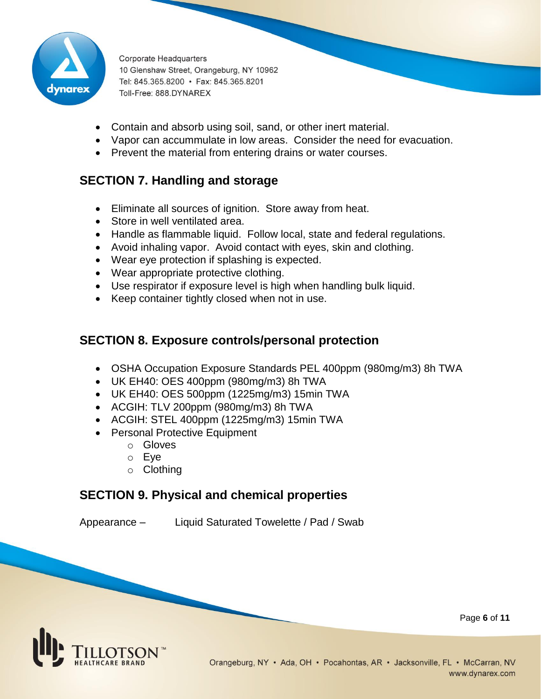

- Contain and absorb using soil, sand, or other inert material.
- Vapor can accummulate in low areas. Consider the need for evacuation.
- Prevent the material from entering drains or water courses.

## **SECTION 7. Handling and storage**

- Eliminate all sources of ignition. Store away from heat.
- Store in well ventilated area.
- Handle as flammable liquid. Follow local, state and federal regulations.
- Avoid inhaling vapor. Avoid contact with eyes, skin and clothing.
- Wear eye protection if splashing is expected.
- Wear appropriate protective clothing.
- Use respirator if exposure level is high when handling bulk liquid.
- Keep container tightly closed when not in use.

## **SECTION 8. Exposure controls/personal protection**

- OSHA Occupation Exposure Standards PEL 400ppm (980mg/m3) 8h TWA
- UK EH40: OES 400ppm (980mg/m3) 8h TWA
- UK EH40: OES 500ppm (1225mg/m3) 15min TWA
- ACGIH: TLV 200ppm (980mg/m3) 8h TWA
- ACGIH: STEL 400ppm (1225mg/m3) 15min TWA
- Personal Protective Equipment
	- o Gloves
	- o Eye
	- o Clothing

## **SECTION 9. Physical and chemical properties**

Appearance – Liquid Saturated Towelette / Pad / Swab

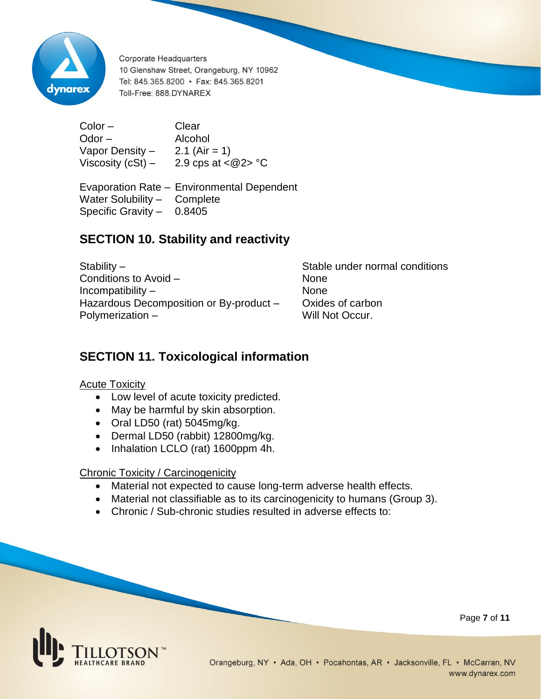

Color – Clear Odor – Alcohol Vapor Density  $-$  2.1 (Air = 1) Viscosity (cSt) – 2.9 cps at  $<\omega$ 2> °C

Evaporation Rate – Environmental Dependent Water Solubility – Complete Specific Gravity – 0.8405

## **SECTION 10. Stability and reactivity**

Stability – Stable under normal conditions Conditions to Avoid – None Incompatibility – None Hazardous Decomposition or By-product - Oxides of carbon Polymerization – Will Not Occur.

## **SECTION 11. Toxicological information**

Acute Toxicity

- Low level of acute toxicity predicted.
- May be harmful by skin absorption.
- Oral LD50 (rat) 5045mg/kg.
- Dermal LD50 (rabbit) 12800mg/kg.
- Inhalation LCLO (rat) 1600ppm 4h.

### Chronic Toxicity / Carcinogenicity

- Material not expected to cause long-term adverse health effects.
- Material not classifiable as to its carcinogenicity to humans (Group 3).
- Chronic / Sub-chronic studies resulted in adverse effects to:



Page **7** of **11**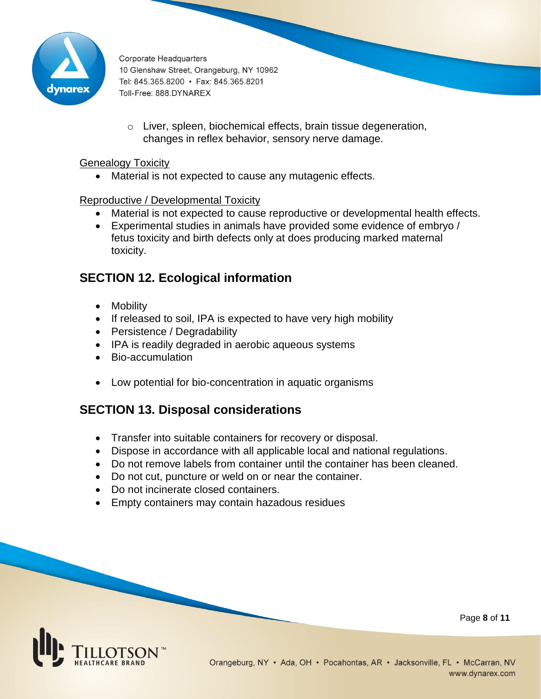

o Liver, spleen, biochemical effects, brain tissue degeneration, changes in reflex behavior, sensory nerve damage.

### Genealogy Toxicity

Material is not expected to cause any mutagenic effects.

### Reproductive / Developmental Toxicity

- Material is not expected to cause reproductive or developmental health effects.
- Experimental studies in animals have provided some evidence of embryo / fetus toxicity and birth defects only at does producing marked maternal toxicity.

## **SECTION 12. Ecological information**

- Mobility
- If released to soil, IPA is expected to have very high mobility
- Persistence / Degradability
- IPA is readily degraded in aerobic aqueous systems
- Bio-accumulation
- Low potential for bio-concentration in aquatic organisms

## **SECTION 13. Disposal considerations**

- Transfer into suitable containers for recovery or disposal.
- Dispose in accordance with all applicable local and national regulations.
- Do not remove labels from container until the container has been cleaned.
- Do not cut, puncture or weld on or near the container.
- Do not incinerate closed containers.
- Empty containers may contain hazadous residues



Page **8** of **11**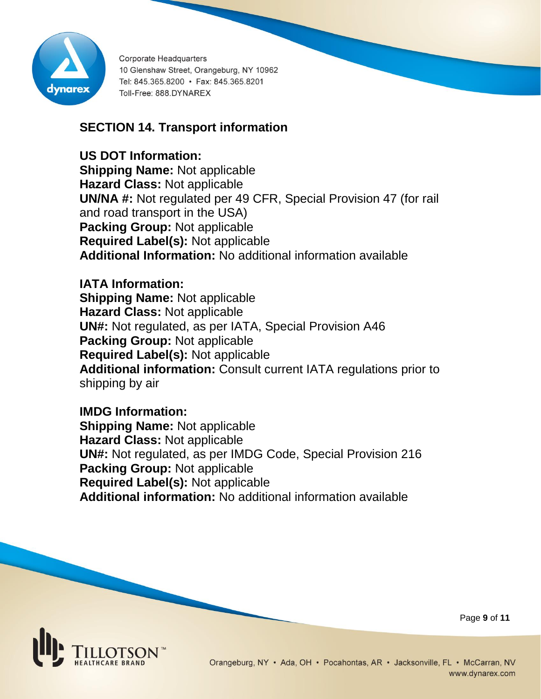

## **SECTION 14. Transport information**

**US DOT Information:**

**Shipping Name:** Not applicable **Hazard Class:** Not applicable **UN/NA #:** Not regulated per 49 CFR, Special Provision 47 (for rail and road transport in the USA) **Packing Group:** Not applicable **Required Label(s):** Not applicable **Additional Information:** No additional information available

**IATA Information: Shipping Name:** Not applicable **Hazard Class:** Not applicable **UN#:** Not regulated, as per IATA, Special Provision A46 **Packing Group:** Not applicable **Required Label(s):** Not applicable **Additional information:** Consult current IATA regulations prior to shipping by air

**IMDG Information: Shipping Name:** Not applicable **Hazard Class:** Not applicable **UN#:** Not regulated, as per IMDG Code, Special Provision 216 **Packing Group:** Not applicable **Required Label(s):** Not applicable **Additional information:** No additional information available



Page **9** of **11**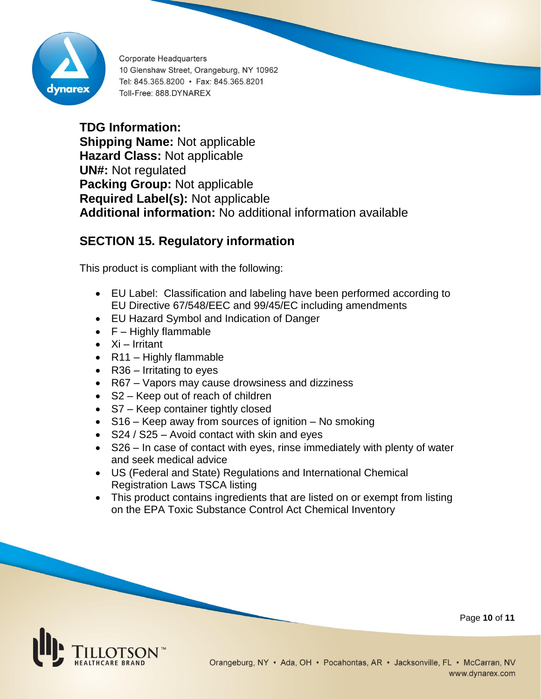

**TDG Information: Shipping Name:** Not applicable **Hazard Class:** Not applicable **UN#:** Not regulated **Packing Group:** Not applicable **Required Label(s):** Not applicable **Additional information:** No additional information available

## **SECTION 15. Regulatory information**

This product is compliant with the following:

- EU Label: Classification and labeling have been performed according to EU Directive 67/548/EEC and 99/45/EC including amendments
- EU Hazard Symbol and Indication of Danger
- $\bullet$   $F -$  Highly flammable
- $\bullet$  Xi Irritant
- $\bullet$  R11 Highly flammable
- $R36$  Irritating to eyes
- R67 Vapors may cause drowsiness and dizziness
- S2 Keep out of reach of children
- S7 Keep container tightly closed
- S16 Keep away from sources of ignition No smoking
- $\bullet$  S24 / S25 Avoid contact with skin and eyes
- S26 In case of contact with eyes, rinse immediately with plenty of water and seek medical advice
- US (Federal and State) Regulations and International Chemical Registration Laws TSCA listing
- This product contains ingredients that are listed on or exempt from listing on the EPA Toxic Substance Control Act Chemical Inventory



Page **10** of **11**